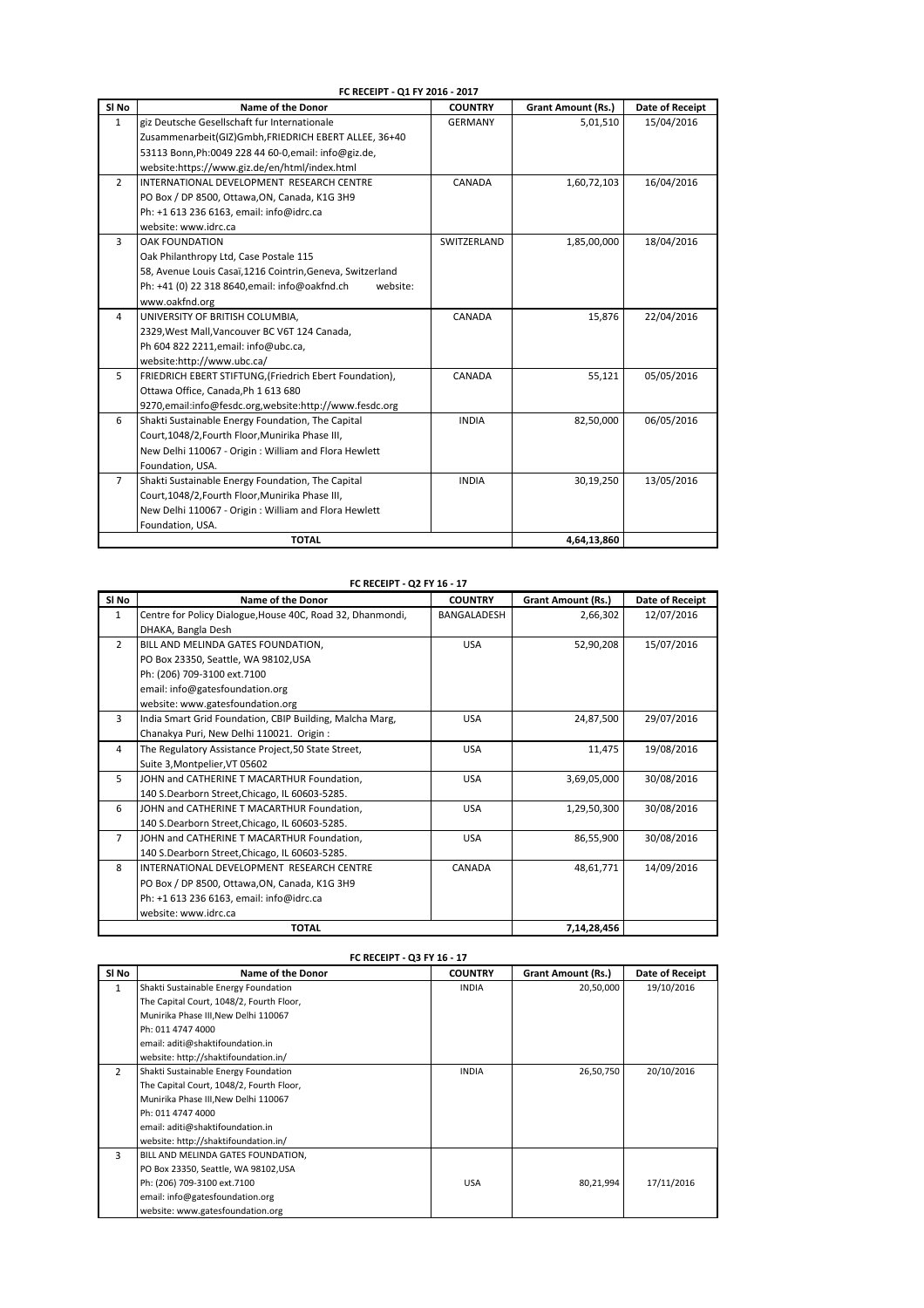|                  | FC RECEIPT - Q1 FY 2016 - 2017                             |                |                           |                        |  |
|------------------|------------------------------------------------------------|----------------|---------------------------|------------------------|--|
| SI <sub>No</sub> | Name of the Donor                                          | <b>COUNTRY</b> | <b>Grant Amount (Rs.)</b> | <b>Date of Receipt</b> |  |
| $\mathbf{1}$     | giz Deutsche Gesellschaft fur Internationale               | <b>GERMANY</b> | 5,01,510                  | 15/04/2016             |  |
|                  | Zusammenarbeit(GIZ)Gmbh, FRIEDRICH EBERT ALLEE, 36+40      |                |                           |                        |  |
|                  | 53113 Bonn, Ph: 0049 228 44 60-0, email: info@giz.de,      |                |                           |                        |  |
|                  | website:https://www.giz.de/en/html/index.html              |                |                           |                        |  |
| $\overline{2}$   | INTERNATIONAL DEVELOPMENT RESEARCH CENTRE                  | CANADA         | 1,60,72,103               | 16/04/2016             |  |
|                  | PO Box / DP 8500, Ottawa, ON, Canada, K1G 3H9              |                |                           |                        |  |
|                  | Ph: +1 613 236 6163, email: info@idrc.ca                   |                |                           |                        |  |
|                  | website: www.idrc.ca                                       |                |                           |                        |  |
| 3                | <b>OAK FOUNDATION</b>                                      | SWITZERLAND    | 1,85,00,000               | 18/04/2016             |  |
|                  | Oak Philanthropy Ltd, Case Postale 115                     |                |                           |                        |  |
|                  | 58, Avenue Louis Casaï,1216 Cointrin, Geneva, Switzerland  |                |                           |                        |  |
|                  | Ph: +41 (0) 22 318 8640, email: info@oakfnd.ch<br>website: |                |                           |                        |  |
|                  | www.oakfnd.org                                             |                |                           |                        |  |
| 4                | UNIVERSITY OF BRITISH COLUMBIA,                            | CANADA         | 15,876                    | 22/04/2016             |  |
|                  | 2329, West Mall, Vancouver BC V6T 124 Canada,              |                |                           |                        |  |
|                  | Ph 604 822 2211, email: info@ubc.ca,                       |                |                           |                        |  |
|                  | website:http://www.ubc.ca/                                 |                |                           |                        |  |
| 5                | FRIEDRICH EBERT STIFTUNG, (Friedrich Ebert Foundation),    | CANADA         | 55,121                    | 05/05/2016             |  |
|                  | Ottawa Office, Canada, Ph 1 613 680                        |                |                           |                        |  |
|                  | 9270, email: info@fesdc.org, website: http://www.fesdc.org |                |                           |                        |  |
| 6                | Shakti Sustainable Energy Foundation, The Capital          | <b>INDIA</b>   | 82,50,000                 | 06/05/2016             |  |
|                  | Court, 1048/2, Fourth Floor, Munirika Phase III,           |                |                           |                        |  |
|                  | New Delhi 110067 - Origin: William and Flora Hewlett       |                |                           |                        |  |
|                  | Foundation, USA.                                           |                |                           |                        |  |
| $\overline{7}$   | Shakti Sustainable Energy Foundation, The Capital          | <b>INDIA</b>   | 30,19,250                 | 13/05/2016             |  |
|                  | Court, 1048/2, Fourth Floor, Munirika Phase III,           |                |                           |                        |  |
|                  | New Delhi 110067 - Origin: William and Flora Hewlett       |                |                           |                        |  |
|                  | Foundation, USA.                                           |                |                           |                        |  |
|                  | <b>TOTAL</b>                                               |                | 4.64.13.860               |                        |  |

## **FC RECEIPT - Q2 FY 16 - 17**

| SI <sub>No</sub> | <b>Name of the Donor</b>                                   | <b>COUNTRY</b> | <b>Grant Amount (Rs.)</b> | Date of Receipt |
|------------------|------------------------------------------------------------|----------------|---------------------------|-----------------|
| $\mathbf{1}$     | Centre for Policy Dialogue, House 40C, Road 32, Dhanmondi, | BANGALADESH    | 2,66,302                  | 12/07/2016      |
|                  | DHAKA, Bangla Desh                                         |                |                           |                 |
| $\overline{2}$   | BILL AND MELINDA GATES FOUNDATION,                         | <b>USA</b>     | 52,90,208                 | 15/07/2016      |
|                  | PO Box 23350, Seattle, WA 98102, USA                       |                |                           |                 |
|                  | Ph: (206) 709-3100 ext.7100                                |                |                           |                 |
|                  | email: info@gatesfoundation.org                            |                |                           |                 |
|                  | website: www.gatesfoundation.org                           |                |                           |                 |
| 3                | India Smart Grid Foundation, CBIP Building, Malcha Marg,   | <b>USA</b>     | 24,87,500                 | 29/07/2016      |
|                  | Chanakya Puri, New Delhi 110021. Origin:                   |                |                           |                 |
| 4                | The Regulatory Assistance Project, 50 State Street,        | <b>USA</b>     | 11,475                    | 19/08/2016      |
|                  | Suite 3, Montpelier, VT 05602                              |                |                           |                 |
| 5                | JOHN and CATHERINE T MACARTHUR Foundation,                 | <b>USA</b>     | 3,69,05,000               | 30/08/2016      |
|                  | 140 S.Dearborn Street, Chicago, IL 60603-5285.             |                |                           |                 |
| 6                | JOHN and CATHERINE T MACARTHUR Foundation,                 | <b>USA</b>     | 1,29,50,300               | 30/08/2016      |
|                  | 140 S.Dearborn Street, Chicago, IL 60603-5285.             |                |                           |                 |
| $\overline{7}$   | JOHN and CATHERINE T MACARTHUR Foundation,                 | <b>USA</b>     | 86,55,900                 | 30/08/2016      |
|                  | 140 S.Dearborn Street, Chicago, IL 60603-5285.             |                |                           |                 |
| 8                | INTERNATIONAL DEVELOPMENT RESEARCH CENTRE                  | CANADA         | 48.61.771                 | 14/09/2016      |
|                  | PO Box / DP 8500, Ottawa, ON, Canada, K1G 3H9              |                |                           |                 |
|                  | Ph: +1 613 236 6163, email: info@idrc.ca                   |                |                           |                 |
|                  | website: www.idrc.ca                                       |                |                           |                 |
|                  | <b>TOTAL</b>                                               |                | 7,14,28,456               |                 |

| FC RECEIPT - Q3 FY 16 - 17 |                                          |                |                           |                 |
|----------------------------|------------------------------------------|----------------|---------------------------|-----------------|
| SI No                      | <b>Name of the Donor</b>                 | <b>COUNTRY</b> | <b>Grant Amount (Rs.)</b> | Date of Receipt |
| $\mathbf{1}$               | Shakti Sustainable Energy Foundation     | <b>INDIA</b>   | 20,50,000                 | 19/10/2016      |
|                            | The Capital Court, 1048/2, Fourth Floor, |                |                           |                 |
|                            | Munirika Phase III, New Delhi 110067     |                |                           |                 |
|                            | Ph: 011 4747 4000                        |                |                           |                 |
|                            | email: aditi@shaktifoundation.in         |                |                           |                 |
|                            | website: http://shaktifoundation.in/     |                |                           |                 |
| $\overline{2}$             | Shakti Sustainable Energy Foundation     | <b>INDIA</b>   | 26,50,750                 | 20/10/2016      |
|                            | The Capital Court, 1048/2, Fourth Floor, |                |                           |                 |
|                            | Munirika Phase III, New Delhi 110067     |                |                           |                 |
|                            | Ph: 011 4747 4000                        |                |                           |                 |
|                            | email: aditi@shaktifoundation.in         |                |                           |                 |
|                            | website: http://shaktifoundation.in/     |                |                           |                 |
| 3                          | BILL AND MELINDA GATES FOUNDATION,       |                |                           |                 |
|                            | PO Box 23350, Seattle, WA 98102, USA     |                |                           |                 |
|                            | Ph: (206) 709-3100 ext.7100              | <b>USA</b>     | 80,21,994                 | 17/11/2016      |
|                            | email: info@gatesfoundation.org          |                |                           |                 |
|                            | website: www.gatesfoundation.org         |                |                           |                 |